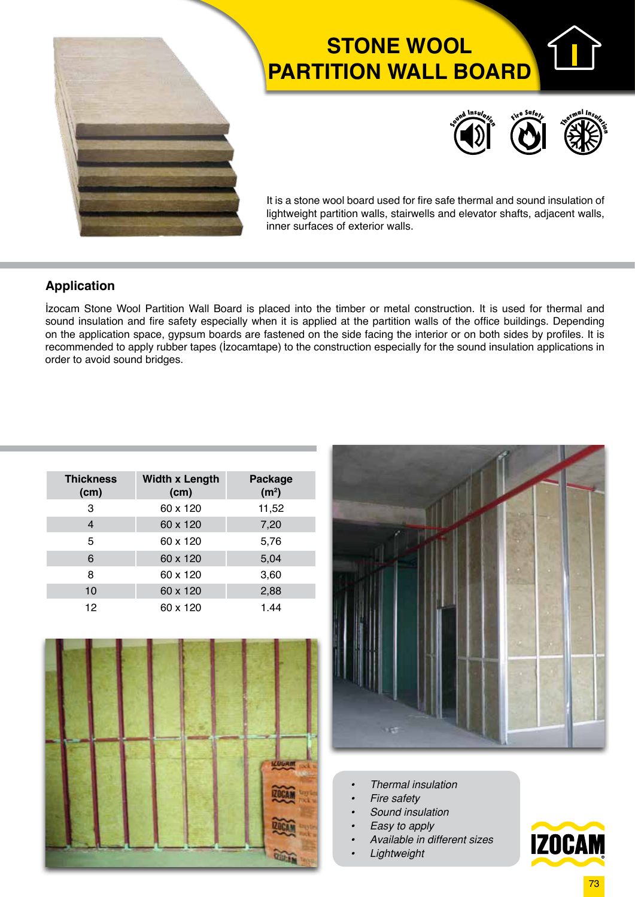

# **STONE WOOL PARTITION WALL BOARD**



It is a stone wool board used for fire safe thermal and sound insulation of lightweight partition walls, stairwells and elevator shafts, adjacent walls, inner surfaces of exterior walls.

#### **Application**

İzocam Stone Wool Partition Wall Board is placed into the timber or metal construction. It is used for thermal and sound insulation and fire safety especially when it is applied at the partition walls of the office buildings. Depending on the application space, gypsum boards are fastened on the side facing the interior or on both sides by profiles. It is recommended to apply rubber tapes (İzocamtape) to the construction especially for the sound insulation applications in order to avoid sound bridges.

| <b>Thickness</b><br>(cm) | <b>Width x Length</b><br>(cm) | Package<br>(m <sup>2</sup> ) |  |  |  |
|--------------------------|-------------------------------|------------------------------|--|--|--|
| 3                        | 60 x 120                      | 11,52                        |  |  |  |
| 4                        | 60 x 120                      | 7,20                         |  |  |  |
| 5                        | 60 x 120                      | 5,76                         |  |  |  |
| 6                        | 60 x 120                      | 5,04                         |  |  |  |
| 8                        | 60 x 120                      | 3,60                         |  |  |  |
| 10                       | 60 x 120                      | 2,88                         |  |  |  |
| 12                       | 60 x 120                      | 1.44                         |  |  |  |





- *• Thermal insulation*
- *• Fire safety*
- *• Sound insulation*
- *• Easy to apply*
- *• Available in different sizes*
- *• Lightweight*